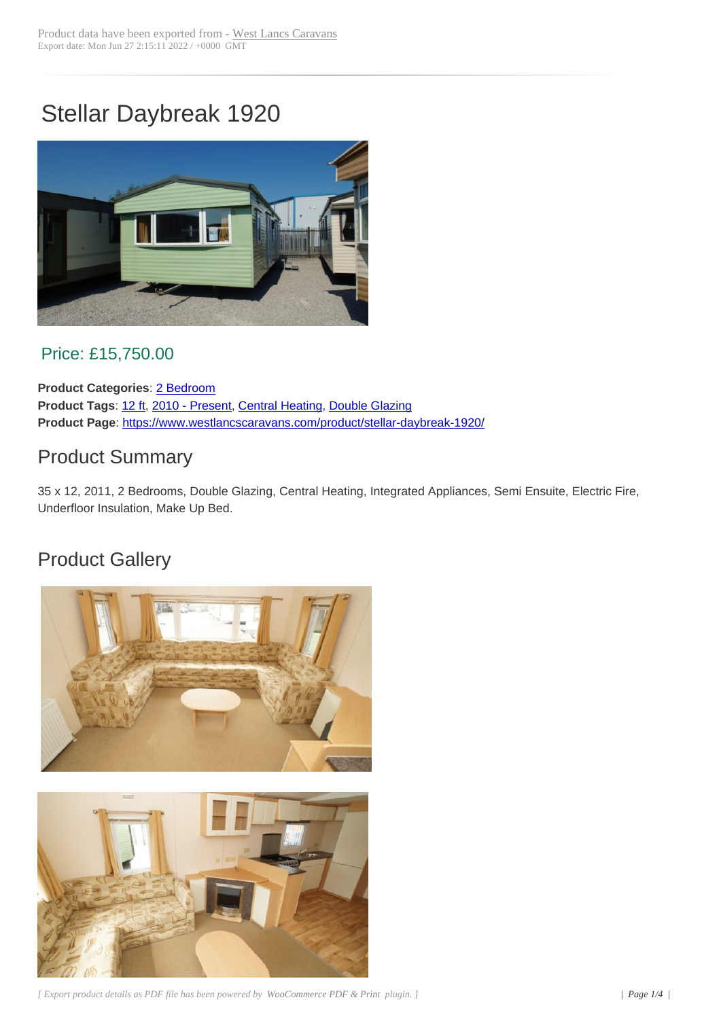## Stellar Daybreak 1920



## Price: £15,750.00

**Product Categories**: 2 Bedroom **Product Tags**: 12 ft, 2010 - Present, Central Heating, Double Glazing **Product Page**: https://www.westlancscaravans.com/product/stellar-daybreak-1920/

## Product [Sum](https://www.westlancscaravans.com/product-tag/12-ft/)[m](https://www.westlancscaravans.com/product-tag/2010-present/)[ary](https://www.westlancscaravans.com/product-category/caravans/2-bedroom/)

35 x 12, 2011, [2 Bedrooms, Double Glazing, Central Heating, Integrated Appliances](https://www.westlancscaravans.com/product/stellar-daybreak-1920/), Semi Ensuite, Electric Fire, Underfloor Insulation, Make Up Bed.

## Product Gallery





*[ Export product details as PDF file has been powered by WooCommerce PDF & Print plugin. ] | Page 1/4 |*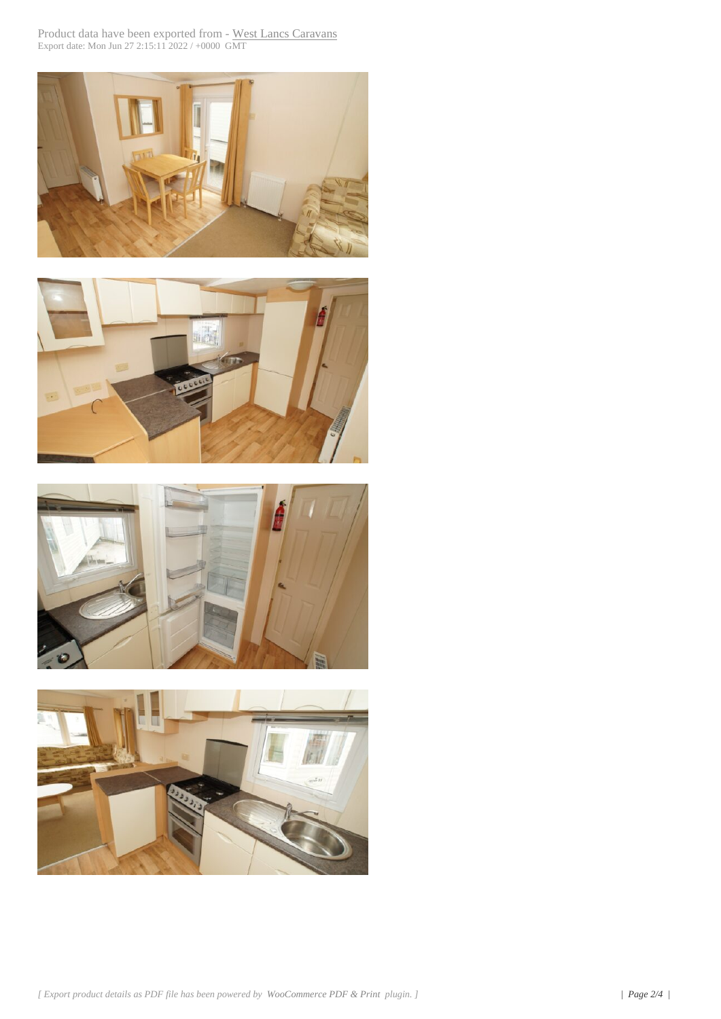





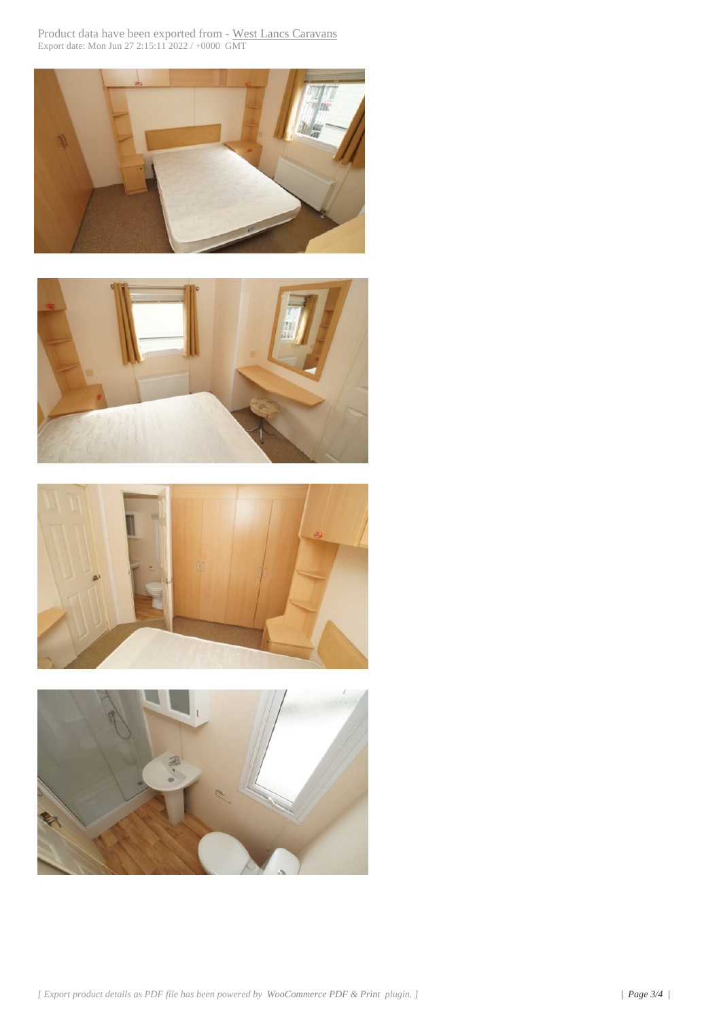